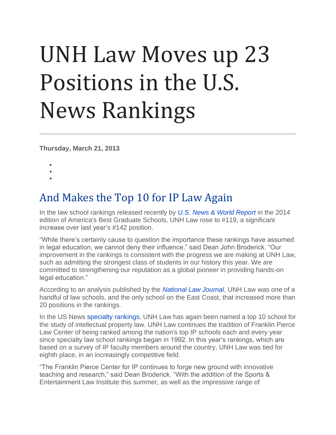## UNH Law Moves up 23 Positions in the U.S. News Rankings

**Thursday, March 21, 2013**

- •
- •
- •

## And Makes the Top 10 for IP Law Again

In the law school rankings released recently by *[U.S. News & World Report](http://grad-schools.usnews.rankingsandreviews.com/best-graduate-schools/top-law-schools)* in the 2014 edition of America's Best Graduate Schools, UNH Law rose to #119, a significant increase over last year's #142 position.

"While there's certainly cause to question the importance these rankings have assumed in legal education, we cannot deny their influence," said Dean John Broderick. "Our improvement in the rankings is consistent with the progress we are making at UNH Law, such as admitting the strongest class of students in our history this year. We are committed to strengthening our reputation as a global pioneer in providing hands-on legal education."

According to an analysis published by the *[National Law Journal](http://www.law.com/jsp/nlj/PubArticleNLJ.jsp?id=1202591734021&Major_shakeups_in_the_middle_ranks_of_US_News_law_school_list&slreturn=20130213123311)*, UNH Law was one of a handful of law schools, and the only school on the East Coast, that increased more than 20 positions in the rankings.

In the US News [specialty rankings,](http://grad-schools.usnews.rankingsandreviews.com/best-graduate-schools/top-law-schools/intellectual-property-law-rankings) UNH Law has again been named a top 10 school for the study of intellectual property law. UNH Law continues the tradition of Franklin Pierce Law Center of being ranked among the nation's top IP schools each and every year since specialty law school rankings began in 1992. In this year's rankings, which are based on a survey of IP faculty members around the country, UNH Law was tied for eighth place, in an increasingly competitive field.

"The Franklin Pierce Center for IP continues to forge new ground with innovative teaching and research," said Dean Broderick. "With the addition of the Sports & Entertainment Law Institute this summer, as well as the impressive range of